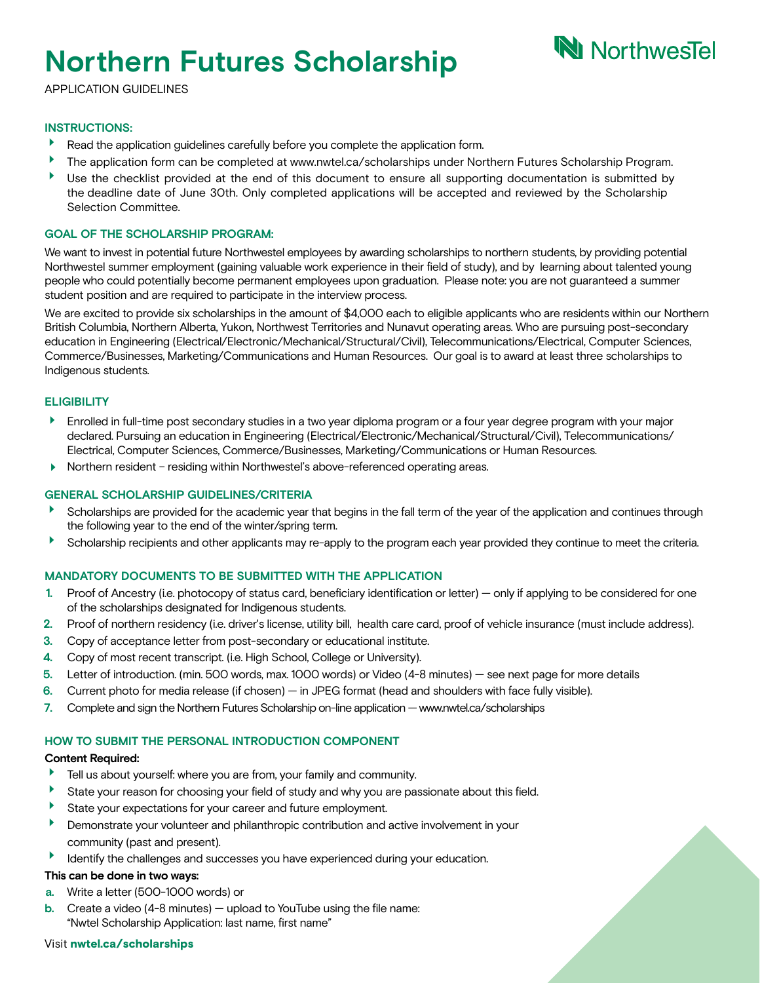# **Northern Futures Scholarship**

# **N** NorthwesTel

APPLICATION GUIDELINES

### **INSTRUCTIONS:**

- Þ Read the application guidelines carefully before you complete the application form.
- $\blacktriangleright$ The application form can be completed at www.nwtel.ca/scholarships under Northern Futures Scholarship Program.
- $\blacktriangleright$ Use the checklist provided at the end of this document to ensure all supporting documentation is submitted by the deadline date of June 30th. Only completed applications will be accepted and reviewed by the Scholarship Selection Committee.

### **GOAL OF THE SCHOLARSHIP PROGRAM:**

We want to invest in potential future Northwestel employees by awarding scholarships to northern students, by providing potential Northwestel summer employment (gaining valuable work experience in their field of study), and by learning about talented young people who could potentially become permanent employees upon graduation. Please note: you are not guaranteed a summer student position and are required to participate in the interview process.

We are excited to provide six scholarships in the amount of \$4,000 each to eligible applicants who are residents within our Northern British Columbia, Northern Alberta, Yukon, Northwest Territories and Nunavut operating areas. Who are pursuing post-secondary education in Engineering (Electrical/Electronic/Mechanical/Structural/Civil), Telecommunications/Electrical, Computer Sciences, Commerce/Businesses, Marketing/Communications and Human Resources. Our goal is to award at least three scholarships to Indigenous students.

### **ELIGIBILITY**

- $\blacktriangleright$ Enrolled in full-time post secondary studies in a two year diploma program or a four year degree program with your major declared. Pursuing an education in Engineering (Electrical/Electronic/Mechanical/Structural/Civil), Telecommunications/ Electrical, Computer Sciences, Commerce/Businesses, Marketing/Communications or Human Resources.
- Northern resident residing within Northwestel's above-referenced operating areas.

### **GENERAL SCHOLARSHIP GUIDELINES/CRITERIA**

- Scholarships are provided for the academic year that begins in the fall term of the year of the application and continues through the following year to the end of the winter/spring term.
- Scholarship recipients and other applicants may re-apply to the program each year provided they continue to meet the criteria.

### **MANDATORY DOCUMENTS TO BE SUBMITTED WITH THE APPLICATION**

- **1.** Proof of Ancestry (i.e. photocopy of status card, beneficiary identification or letter) only if applying to be considered for one of the scholarships designated for Indigenous students.
- **2.** Proof of northern residency (i.e. driver's license, utility bill, health care card, proof of vehicle insurance (must include address).
- **3.** Copy of acceptance letter from post-secondary or educational institute.
- **4.** Copy of most recent transcript. (i.e. High School, College or University).
- **5.** Letter of introduction. (min. 500 words, max. 1000 words) or Video (4-8 minutes) see next page for more details
- **6.** Current photo for media release (if chosen) in JPEG format (head and shoulders with face fully visible).
- 7. Complete and sign the Northern Futures Scholarship on-line application www.nwtel.ca/scholarships

### **HOW TO SUBMIT THE PERSONAL INTRODUCTION COMPONENT**

### **Content Required:**

- $\blacktriangleright$ Tell us about yourself: where you are from, your family and community.
- $\blacktriangleright$ State your reason for choosing your field of study and why you are passionate about this field.
- ¥ State your expectations for your career and future employment.
- Þ Demonstrate your volunteer and philanthropic contribution and active involvement in your community (past and present).
- $\blacktriangleright$ Identify the challenges and successes you have experienced during your education.

### **This can be done in two ways:**

- **a.** Write a letter (500-1000 words) or
- **b.** Create a video (4-8 minutes) upload to YouTube using the file name: "Nwtel Scholarship Application: last name, first name"

### Visit nwtel.ca/s[cholarship](http://www.nwtel.ca/Scholarship)s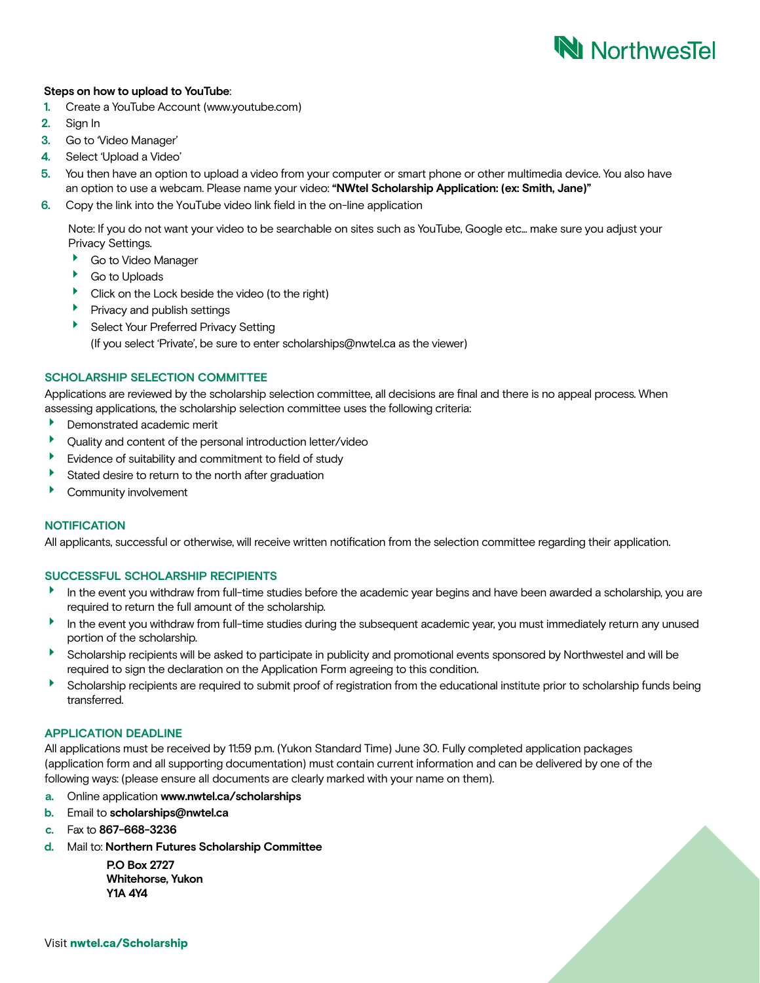## **N** Northwestel

### **Steps on how to upload to YouTube**:

- **1.** Create a YouTube Account (www.youtube.com)
- **2.** Sign In
- **3.** Go to 'Video Manager'
- **4.** Select 'Upload a Video'
- **5.** You then have an option to upload a video from your computer or smart phone or other multimedia device. You also have an option to use a webcam. Please name your video: **"NWtel Scholarship Application: (ex: Smith, Jane)"**
- **6.** Copy the link into the YouTube video link field in the on-line application

Note: If you do not want your video to be searchable on sites such as YouTube, Google etc... make sure you adjust your Privacy Settings.

- Go to Video Manager
- Go to Uploads
- Click on the Lock beside the video (to the right)
- $\blacktriangleright$  Privacy and publish settings
- **BELECT Your Preferred Privacy Setting**

(If you select 'Private', be sure to enter [scholarships@nwtel.ca](mailto:scholarships%40nwtel.ca?subject=) as the viewer)

### **SCHOLARSHIP SELECTION COMMITTEE**

Applications are reviewed by the scholarship selection committee, all decisions are final and there is no appeal process. When assessing applications, the scholarship selection committee uses the following criteria:

- Demonstrated academic merit
- Quality and content of the personal introduction letter/video
- Evidence of suitability and commitment to field of study
- Stated desire to return to the north after graduation
- ▶ Community involvement

### **NOTIFICATION**

All applicants, successful or otherwise, will receive written notification from the selection committee regarding their application.

### **SUCCESSFUL SCHOLARSHIP RECIPIENTS**

- In the event you withdraw from full-time studies before the academic year begins and have been awarded a scholarship, you are required to return the full amount of the scholarship.
- In the event you withdraw from full-time studies during the subsequent academic year, you must immediately return any unused portion of the scholarship.
- Scholarship recipients will be asked to participate in publicity and promotional events sponsored by Northwestel and will be required to sign the declaration on the Application Form agreeing to this condition.
- Scholarship recipients are required to submit proof of registration from the educational institute prior to scholarship funds being transferred.

### **APPLICATION DEADLINE**

All applications must be received by 11:59 p.m. (Yukon Standard Time) June 30. Fully completed application packages (application form and all supporting documentation) must contain current information and can be delivered by one of the following ways: (please ensure all documents are clearly marked with your name on them).

- **a.** Online application **[www.nwtel.ca](mailto:scholarships%40nwtel.ca?subject=)/scholarships**
- **b.** Email to **scholarships@nwtel.ca**
- **c.** Fax to **867-668-3236**
- **d.** Mail to: **Northern Futures Scholarship Committee**

 **P.O Box 2727 Whitehorse, Yukon Y1A 4Y4**